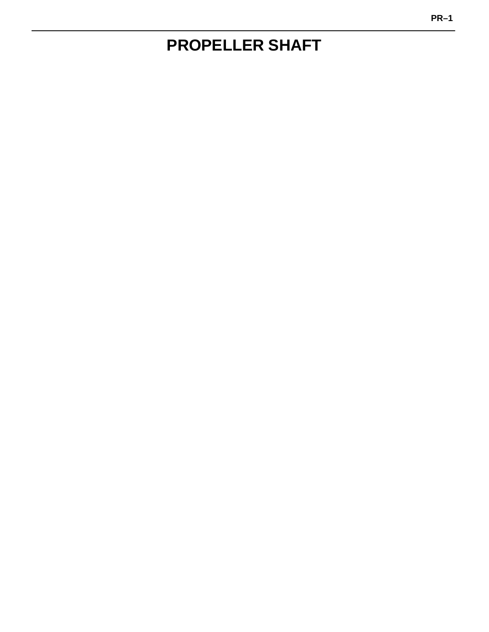# **PROPELLER SHAFT**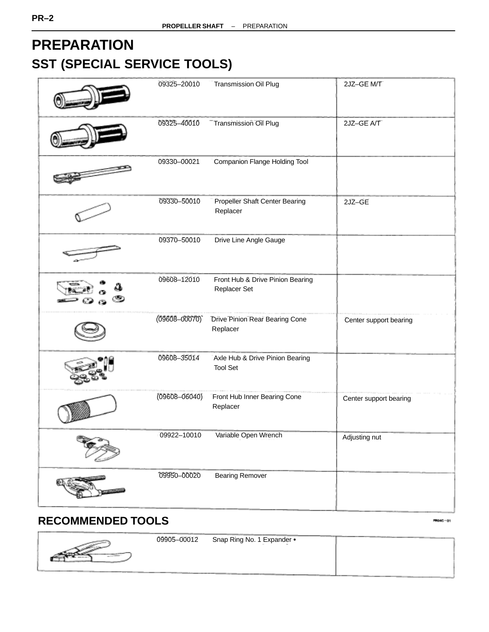# **PREPARATION SST (SPECIAL SERVICE TOOLS)**

| 09325-20010       | <b>Transmission Oil Plug</b>                       | 2JZ-GE M/T             |
|-------------------|----------------------------------------------------|------------------------|
| 09325-40010       | <b>Transmission Oil Plug</b>                       | 2JZ-GE A/T             |
| 09330-00021       | Companion Flange Holding Tool                      |                        |
| 09330-50010       | Propeller Shaft Center Bearing<br>Replacer         | 2JZ-GE                 |
| 09370-50010       | Drive Line Angle Gauge                             |                        |
| 09608-12010       | Front Hub & Drive Pinion Bearing<br>Replacer Set   |                        |
| $(09608 - 00070)$ | <b>Drive Pinion Rear Bearing Cone</b><br>Replacer  | Center support bearing |
| 09608-35014       | Axle Hub & Drive Pinion Bearing<br><b>Tool Set</b> |                        |
| $(09608 - 06040)$ | Front Hub Inner Bearing Cone<br>Replacer           | Center support bearing |
| 09922-10010       | Variable Open Wrench                               | Adjusting nut          |
| 09950-00020       | <b>Bearing Remover</b>                             |                        |

## **RECOMMENDED TOOLS**

PR040-01

|  | 09905-00012 | Snap Ring No. 1 Expander . |  |
|--|-------------|----------------------------|--|
|  |             |                            |  |
|  |             |                            |  |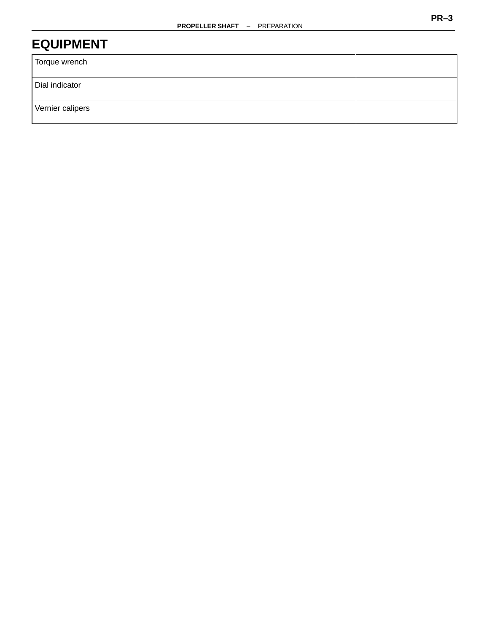## **EQUIPMENT**

| Torque wrench    |  |
|------------------|--|
| Dial indicator   |  |
| Vernier calipers |  |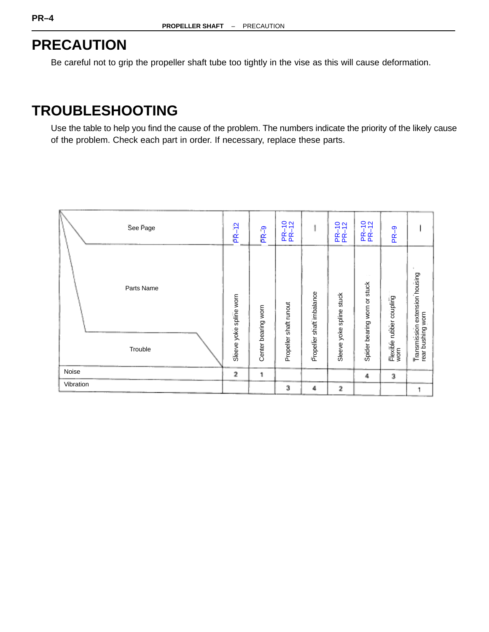# **PRECAUTION**

Be careful not to grip the propeller shaft tube too tightly in the vise as this will cause deformation.

## **TROUBLESHOOTING**

Use the table to help you find the cause of the problem. The numbers indicate the priority of the likely cause of the problem. Check each part in order. If necessary, replace these parts.

| See Page              | $PR-12$                 | ႜႜႜ<br>ιŘ           | $\circ$ $\circ$<br>PR-1 |                           | PR-10<br>PR-12           | PR-10<br>PR-12               | PR-9                             |                                                    |
|-----------------------|-------------------------|---------------------|-------------------------|---------------------------|--------------------------|------------------------------|----------------------------------|----------------------------------------------------|
| Parts Name<br>Trouble | Sleeve yoke spline worn | Center bearing worn | Propeller shaft runout  | Propeller shaft imbalance | Sleeve yoke spline stuck | Spider bearing worn or stuck | Flexible rubber coupling<br>worn | Transmission extension housing<br>rear bushing wom |
| Noise                 | 2                       | 1                   |                         |                           |                          | 4                            | 3                                |                                                    |
| Vibration             |                         |                     | з                       | 4                         | 2                        |                              |                                  | 1                                                  |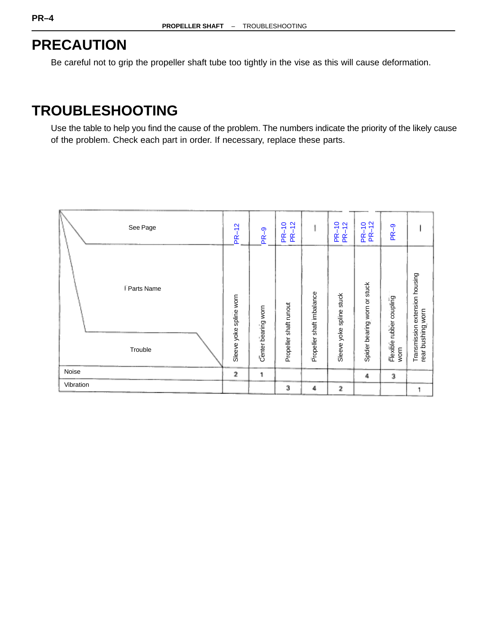# **PRECAUTION**

Be careful not to grip the propeller shaft tube too tightly in the vise as this will cause deformation.

## **TROUBLESHOOTING**

Use the table to help you find the cause of the problem. The numbers indicate the priority of the likely cause of the problem. Check each part in order. If necessary, replace these parts.

| See Page              | $PR-12$                 | စှာ<br><u>۴</u>     | $-12$<br>$\circ$<br>$\overline{\phantom{0}}$ |                                | $\frac{1}{2}$<br>$\frac{2}{3}$<br><u>ድ ፍ</u> | $rac{1}{2}$<br>$\frac{1}{2}$<br>$\frac{R}{R}$ | PR-9                             |                                                     |
|-----------------------|-------------------------|---------------------|----------------------------------------------|--------------------------------|----------------------------------------------|-----------------------------------------------|----------------------------------|-----------------------------------------------------|
| Parts Name<br>Trouble | Sleeve yoke spline worn | Center bearing worn | Propeller shaft runout                       | shaft imbalance<br>Propeller : | Sleeve yoke spline stuck                     | Spider bearing worn or stuck                  | Flexible rubber coupling<br>worn | Transmission extension housing<br>rear bushing worn |
| Noise                 | 2                       | 1                   |                                              |                                |                                              | 4                                             | 3                                |                                                     |
| Vibration             |                         |                     | з                                            | 4                              | 2                                            |                                               |                                  | 1                                                   |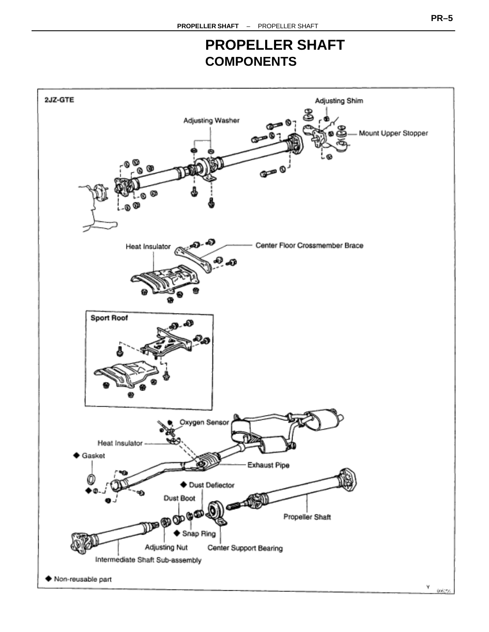## **PROPELLER SHAFT COMPONENTS**

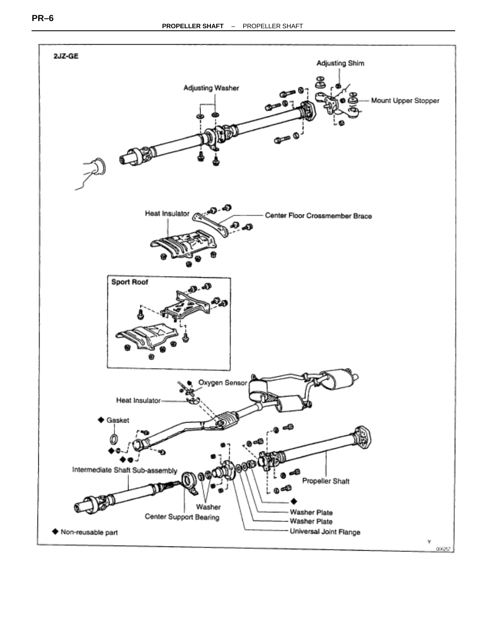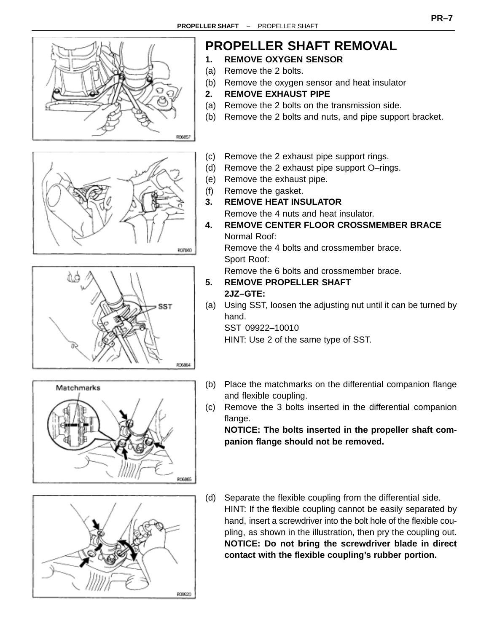

(a) Using SST, loosen the adjusting nut until it can be turned by hand.

SST 09922–10010 HINT: Use 2 of the same type of SST.

- (b) Place the matchmarks on the differential companion flange and flexible coupling.
- (c) Remove the 3 bolts inserted in the differential companion flange.

**NOTICE: The bolts inserted in the propeller shaft companion flange should not be removed.**

(d) Separate the flexible coupling from the differential side. HINT: If the flexible coupling cannot be easily separated by hand, insert a screwdriver into the bolt hole of the flexible coupling, as shown in the illustration, then pry the coupling out. **NOTICE: Do not bring the screwdriver blade in direct contact with the flexible coupling's rubber portion.**



Matchmarks



**SST** 

R06864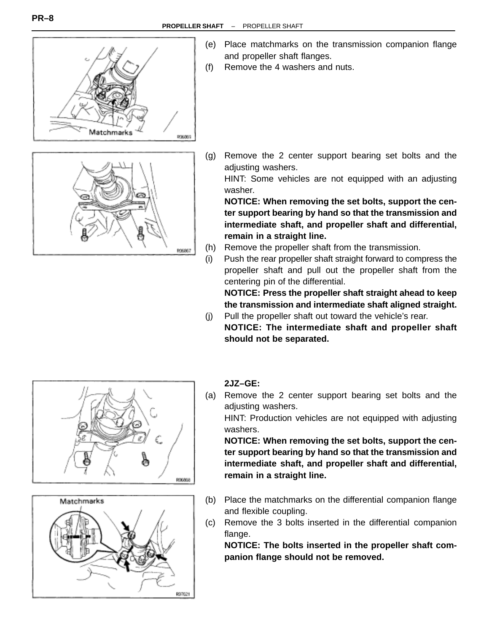



- (e) Place matchmarks on the transmission companion flange and propeller shaft flanges.
- (f) Remove the 4 washers and nuts.

(g) Remove the 2 center support bearing set bolts and the adjusting washers.

HINT: Some vehicles are not equipped with an adjusting washer.

**NOTICE: When removing the set bolts, support the center support bearing by hand so that the transmission and intermediate shaft, and propeller shaft and differential, remain in a straight line.**

- (h) Remove the propeller shaft from the transmission.
- (i) Push the rear propeller shaft straight forward to compress the propeller shaft and pull out the propeller shaft from the centering pin of the differential.

**NOTICE: Press the propeller shaft straight ahead to keep the transmission and intermediate shaft aligned straight.**

(j) Pull the propeller shaft out toward the vehicle's rear. **NOTICE: The intermediate shaft and propeller shaft should not be separated.**





#### **2JZ–GE:**

(a) Remove the 2 center support bearing set bolts and the adjusting washers.

HINT: Production vehicles are not equipped with adjusting washers.

**NOTICE: When removing the set bolts, support the center support bearing by hand so that the transmission and intermediate shaft, and propeller shaft and differential, remain in a straight line.**

- (b) Place the matchmarks on the differential companion flange and flexible coupling.
- (c) Remove the 3 bolts inserted in the differential companion flange.

**NOTICE: The bolts inserted in the propeller shaft companion flange should not be removed.**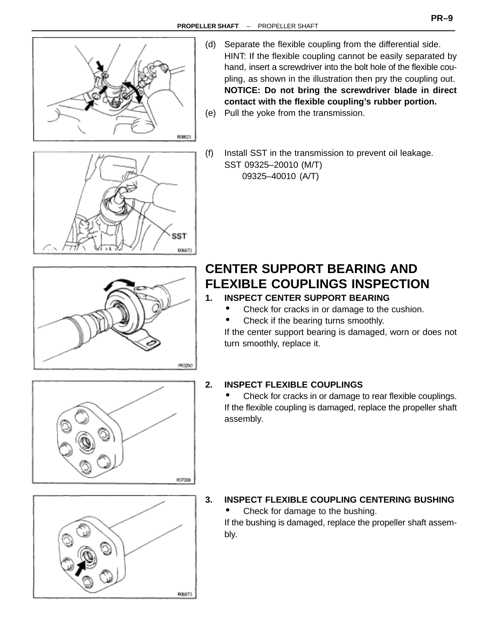

- (d) Separate the flexible coupling from the differential side. HINT: If the flexible coupling cannot be easily separated by hand, insert a screwdriver into the bolt hole of the flexible coupling, as shown in the illustration then pry the coupling out. **NOTICE: Do not bring the screwdriver blade in direct contact with the flexible coupling's rubber portion.**
- (e) Pull the yoke from the transmission.



(f) Install SST in the transmission to prevent oil leakage. SST 09325–20010 (M/T) 09325–40010 (A/T)



## **CENTER SUPPORT BEARING AND FLEXIBLE COUPLINGS INSPECTION**

- **1. INSPECT CENTER SUPPORT BEARING**
	- Check for cracks in or damage to the cushion.
	- Check if the bearing turns smoothly.

If the center support bearing is damaged, worn or does not turn smoothly, replace it.



• Check for cracks in or damage to rear flexible couplings. If the flexible coupling is damaged, replace the propeller shaft assembly.



# bly.

R06873

#### **3. INSPECT FLEXIBLE COUPLING CENTERING BUSHING**

• Check for damage to the bushing.

If the bushing is damaged, replace the propeller shaft assem-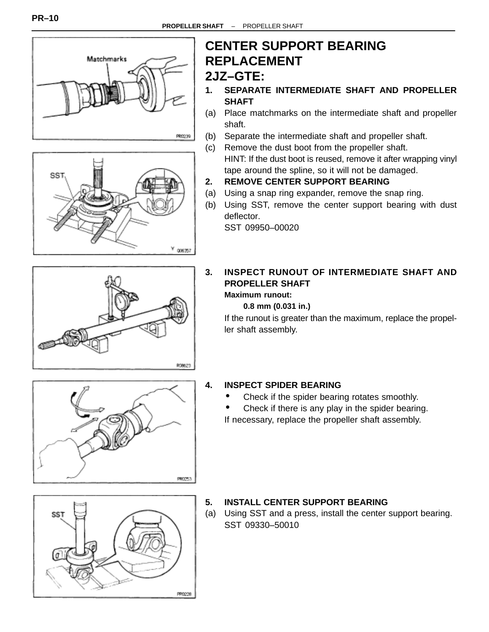



# **CENTER SUPPORT BEARING REPLACEMENT**

## **2JZ–GTE:**

- **1. SEPARATE INTERMEDIATE SHAFT AND PROPELLER SHAFT**
- (a) Place matchmarks on the intermediate shaft and propeller shaft.
- (b) Separate the intermediate shaft and propeller shaft.
- (c) Remove the dust boot from the propeller shaft. HINT: If the dust boot is reused, remove it after wrapping vinyl tape around the spline, so it will not be damaged.
- **2. REMOVE CENTER SUPPORT BEARING**
- (a) Using a snap ring expander, remove the snap ring.
- (b) Using SST, remove the center support bearing with dust deflector.

SST 09950–00020

## **3. INSPECT RUNOUT OF INTERMEDIATE SHAFT AND PROPELLER SHAFT**

## **Maximum runout:**

#### **0.8 mm (0.031 in.)**

If the runout is greater than the maximum, replace the propeller shaft assembly.



808623

#### **4. INSPECT SPIDER BEARING**

- Check if the spider bearing rotates smoothly.
- Check if there is any play in the spider bearing.

If necessary, replace the propeller shaft assembly.



#### **5. INSTALL CENTER SUPPORT BEARING**

(a) Using SST and a press, install the center support bearing. SST 09330–50010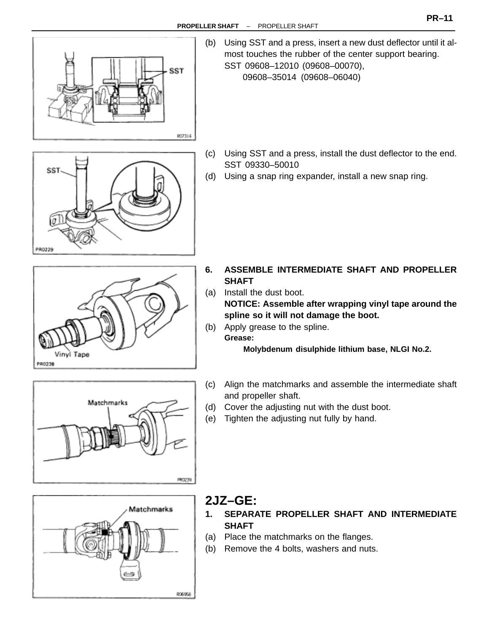

(b) Using SST and a press, insert a new dust deflector until it almost touches the rubber of the center support bearing. SST 09608–12010 (09608–00070), 09608–35014 (09608–06040)

- SST PR0229
- (c) Using SST and a press, install the dust deflector to the end. SST 09330–50010
- (d) Using a snap ring expander, install a new snap ring.





- **6. ASSEMBLE INTERMEDIATE SHAFT AND PROPELLER SHAFT**
- (a) Install the dust boot. **NOTICE: Assemble after wrapping vinyl tape around the**

**spline so it will not damage the boot.**

(b) Apply grease to the spline. **Grease:**

**Molybdenum disulphide lithium base, NLGI No.2.**

- (c) Align the matchmarks and assemble the intermediate shaft and propeller shaft.
- (d) Cover the adjusting nut with the dust boot.
- (e) Tighten the adjusting nut fully by hand.



## **2JZ–GE:**

- **1. SEPARATE PROPELLER SHAFT AND INTERMEDIATE SHAFT**
- (a) Place the matchmarks on the flanges.
- (b) Remove the 4 bolts, washers and nuts.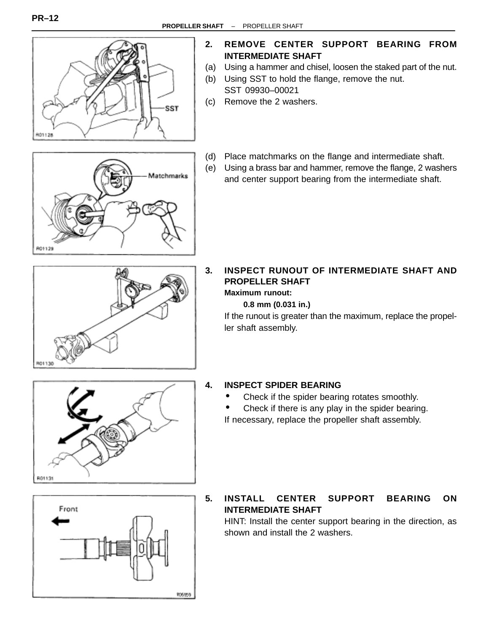

Matchmarks

#### **2. REMOVE CENTER SUPPORT BEARING FROM INTERMEDIATE SHAFT**

- (a) Using a hammer and chisel, loosen the staked part of the nut.
- (b) Using SST to hold the flange, remove the nut. SST 09930–00021
- (c) Remove the 2 washers.
- (d) Place matchmarks on the flange and intermediate shaft.
- (e) Using a brass bar and hammer, remove the flange, 2 washers and center support bearing from the intermediate shaft.



#### **3. INSPECT RUNOUT OF INTERMEDIATE SHAFT AND PROPELLER SHAFT Maximum runout:**

### **0.8 mm (0.031 in.)**

If the runout is greater than the maximum, replace the propeller shaft assembly.



#### **4. INSPECT SPIDER BEARING**

- Check if the spider bearing rotates smoothly.
- Check if there is any play in the spider bearing.

If necessary, replace the propeller shaft assembly.



**5. INSTALL CENTER SUPPORT BEARING ON INTERMEDIATE SHAFT**

HINT: Install the center support bearing in the direction, as shown and install the 2 washers.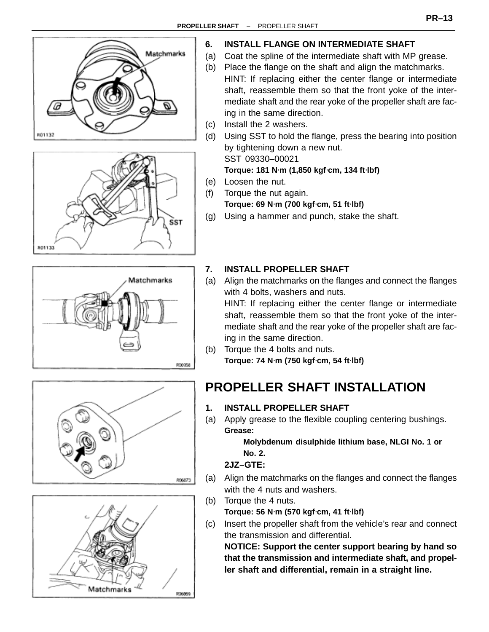<span id="page-13-0"></span>









#### **6. INSTALL FLANGE ON INTERMEDIATE SHAFT**

- (a) Coat the spline of the intermediate shaft with MP grease.
- (b) Place the flange on the shaft and align the matchmarks. HINT: If replacing either the center flange or intermediate shaft, reassemble them so that the front yoke of the intermediate shaft and the rear yoke of the propeller shaft are facing in the same direction.
- (c) Install the 2 washers.
- (d) Using SST to hold the flange, press the bearing into position by tightening down a new nut.

SST 09330–00021

**Torque: 181 N**⋅**m (1,850 kgf**⋅**cm, 134 ft**⋅**lbf)**

- (e) Loosen the nut.
- (f) Torque the nut again. **Torque: 69 N**⋅**m (700 kgf**⋅**cm, 51 ft**⋅**lbf)**
- (g) Using a hammer and punch, stake the shaft.

#### **7. INSTALL PROPELLER SHAFT**

(a) Align the matchmarks on the flanges and connect the flanges with 4 bolts, washers and nuts. HINT: If replacing either the center flange or intermediate

shaft, reassemble them so that the front yoke of the intermediate shaft and the rear yoke of the propeller shaft are facing in the same direction.

(b) Torque the 4 bolts and nuts. **Torque: 74 N**⋅**m (750 kgf**⋅**cm, 54 ft**⋅**lbf)**

## **PROPELLER SHAFT INSTALLATION**

- **1. INSTALL PROPELLER SHAFT**
- (a) Apply grease to the flexible coupling centering bushings. **Grease:**

**Molybdenum disulphide lithium base, NLGI No. 1 or No. 2.**

#### **2JZ–GTE:**

- (a) Align the matchmarks on the flanges and connect the flanges with the 4 nuts and washers.
- (b) Torque the 4 nuts. **Torque: 56 N**⋅**m (570 kgf**⋅**cm, 41 ft**⋅**lbf)**
- (c) Insert the propeller shaft from the vehicle's rear and connect the transmission and differential.

**NOTICE: Support the center support bearing by hand so that the transmission and intermediate shaft, and propeller shaft and differential, remain in a straight line.**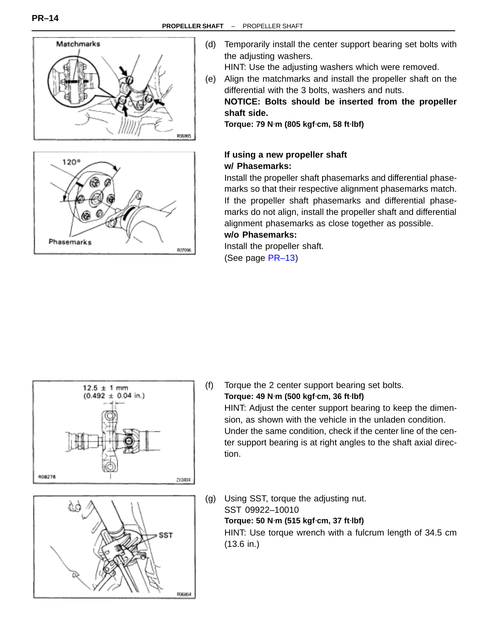



(d) Temporarily install the center support bearing set bolts with the adjusting washers.

HINT: Use the adjusting washers which were removed.

(e) Align the matchmarks and install the propeller shaft on the differential with the 3 bolts, washers and nuts.

**NOTICE: Bolts should be inserted from the propeller shaft side.**

**Torque: 79 N**⋅**m (805 kgf**⋅**cm, 58 ft**⋅**lbf)**

#### **If using a new propeller shaft w/ Phasemarks:**

Install the propeller shaft phasemarks and differential phasemarks so that their respective alignment phasemarks match. If the propeller shaft phasemarks and differential phasemarks do not align, install the propeller shaft and differential alignment phasemarks as close together as possible. **w/o Phasemarks:**

Install the propeller shaft.

(See page [PR–13\)](#page-13-0)





- (f) Torque the 2 center support bearing set bolts. **Torque: 49 N**⋅**m (500 kgf**⋅**cm, 36 ft**⋅**lbf)** HINT: Adjust the center support bearing to keep the dimension, as shown with the vehicle in the unladen condition. Under the same condition, check if the center line of the center support bearing is at right angles to the shaft axial direction.
- (g) Using SST, torque the adjusting nut. SST 09922–10010 **Torque: 50 N**⋅**m (515 kgf**⋅**cm, 37 ft**⋅**lbf)** HINT: Use torque wrench with a fulcrum length of 34.5 cm (13.6 in.)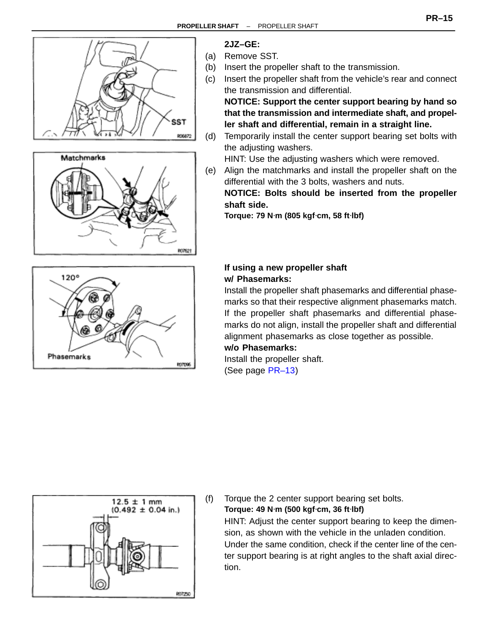





## **2JZ–GE:**

- (a) Remove SST.
- (b) Insert the propeller shaft to the transmission.
- (c) Insert the propeller shaft from the vehicle's rear and connect the transmission and differential.

**NOTICE: Support the center support bearing by hand so that the transmission and intermediate shaft, and propeller shaft and differential, remain in a straight line.**

(d) Temporarily install the center support bearing set bolts with the adjusting washers.

HINT: Use the adjusting washers which were removed.

(e) Align the matchmarks and install the propeller shaft on the differential with the 3 bolts, washers and nuts.

**NOTICE: Bolts should be inserted from the propeller shaft side.**

**Torque: 79 N**⋅**m (805 kgf**⋅**cm, 58 ft**⋅**lbf)**

#### **If using a new propeller shaft w/ Phasemarks:**

Install the propeller shaft phasemarks and differential phasemarks so that their respective alignment phasemarks match. If the propeller shaft phasemarks and differential phasemarks do not align, install the propeller shaft and differential alignment phasemarks as close together as possible.

#### **w/o Phasemarks:**

Install the propeller shaft. (See page [PR–13\)](#page-13-0)



(f) Torque the 2 center support bearing set bolts. **Torque: 49 N**⋅**m (500 kgf**⋅**cm, 36 ft**⋅**lbf)** HINT: Adjust the center support bearing to keep the dimension, as shown with the vehicle in the unladen condition. Under the same condition, check if the center line of the center support bearing is at right angles to the shaft axial direction.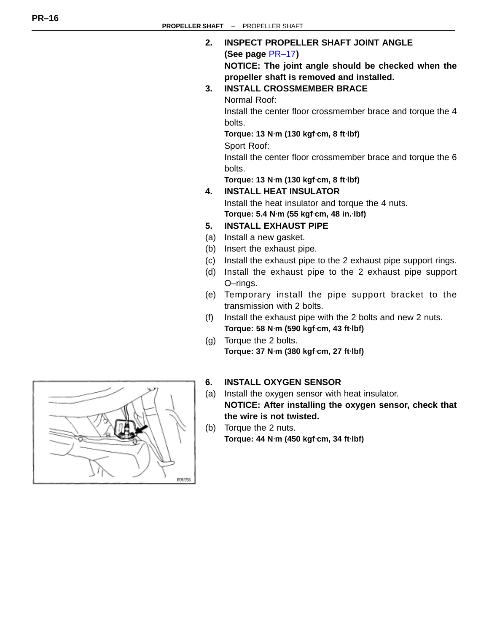#### **2. INSPECT PROPELLER SHAFT JOINT ANGLE**

#### **(See page** [PR–17](#page-17-0)**)**

**NOTICE: The joint angle should be checked when the propeller shaft is removed and installed.**

**3. INSTALL CROSSMEMBER BRACE**

Normal Roof:

Install the center floor crossmember brace and torque the 4 bolts.

**Torque: 13 N**⋅**m (130 kgf**⋅**cm, 8 ft**⋅**lbf)**

Sport Roof:

Install the center floor crossmember brace and torque the 6 bolts.

**Torque: 13 N**⋅**m (130 kgf**⋅**cm, 8 ft**⋅**lbf)**

**4. INSTALL HEAT INSULATOR** Install the heat insulator and torque the 4 nuts.

**Torque: 5.4 N**⋅**m (55 kgf**⋅**cm, 48 in.**⋅**lbf)**

#### **5. INSTALL EXHAUST PIPE**

- (a) Install a new gasket.
- (b) Insert the exhaust pipe.
- (c) Install the exhaust pipe to the 2 exhaust pipe support rings.
- (d) Install the exhaust pipe to the 2 exhaust pipe support O–rings.
- (e) Temporary install the pipe support bracket to the transmission with 2 bolts.
- (f) Install the exhaust pipe with the 2 bolts and new 2 nuts. **Torque: 58 N**⋅**m (590 kgf**⋅**cm, 43 ft**⋅**lbf)**
- (g) Torque the 2 bolts. **Torque: 37 N**⋅**m (380 kgf**⋅**cm, 27 ft**⋅**lbf)**

#### **6. INSTALL OXYGEN SENSOR**

- (a) Install the oxygen sensor with heat insulator. **NOTICE: After installing the oxygen sensor, check that the wire is not twisted.**
- (b) Torque the 2 nuts. **Torque: 44 N**⋅**m (450 kgf**⋅**cm, 34 ft**⋅**lbf)**

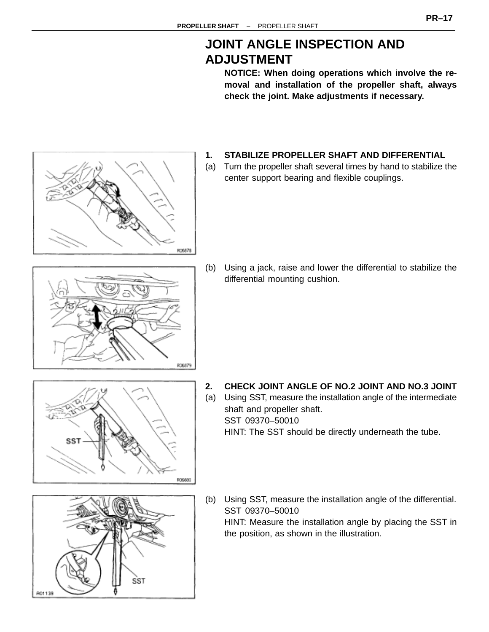## **JOINT ANGLE INSPECTION AND ADJUSTMENT**

**NOTICE: When doing operations which involve the removal and installation of the propeller shaft, always check the joint. Make adjustments if necessary.**

- <span id="page-17-0"></span>RO6878
- **1. STABILIZE PROPELLER SHAFT AND DIFFERENTIAL**
- (a) Turn the propeller shaft several times by hand to stabilize the center support bearing and flexible couplings.

(b) Using a jack, raise and lower the differential to stabilize the differential mounting cushion.

806880

PO6879

**2. CHECK JOINT ANGLE OF NO.2 JOINT AND NO.3 JOINT**

(a) Using SST, measure the installation angle of the intermediate shaft and propeller shaft. SST 09370–50010 HINT: The SST should be directly underneath the tube.

(b) Using SST, measure the installation angle of the differential. SST 09370–50010 HINT: Measure the installation angle by placing the SST in the position, as shown in the illustration.



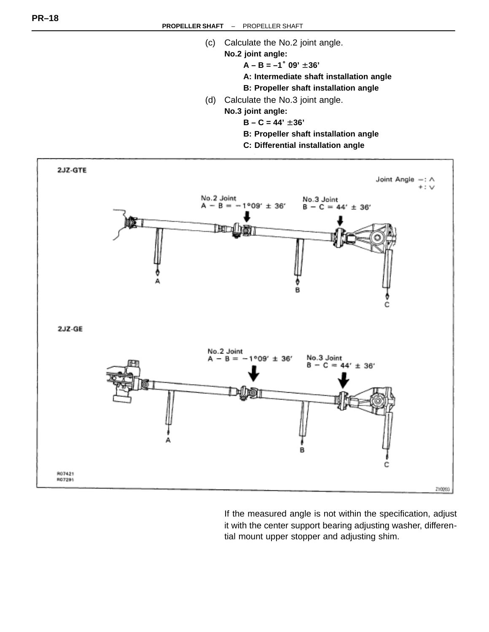- (c) Calculate the No.2 joint angle.
	- **No.2 joint angle:**
		- $A B = -1°09' \pm 36'$
		- **A: Intermediate shaft installation angle**
		- **B: Propeller shaft installation angle**
- (d) Calculate the No.3 joint angle.
	- **No.3 joint angle:**
		- $B C = 44' \pm 36'$
		- **B: Propeller shaft installation angle**
		- **C: Differential installation angle**



If the measured angle is not within the specification, adjust it with the center support bearing adjusting washer, differential mount upper stopper and adjusting shim.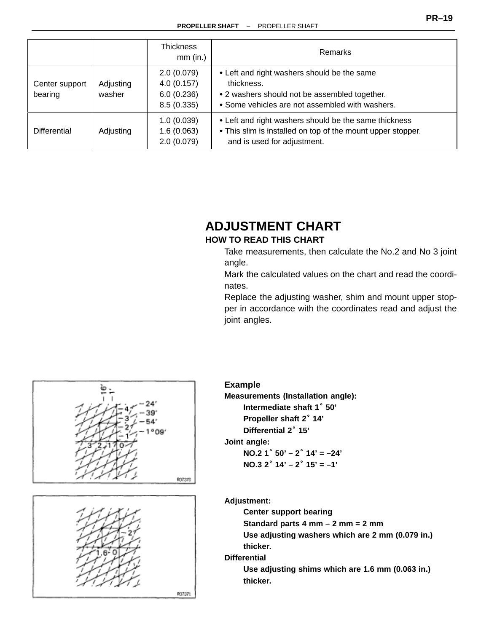|                           |                     | Thickness<br>$mm$ (in.)                              | <b>Remarks</b>                                                                                                                                                |
|---------------------------|---------------------|------------------------------------------------------|---------------------------------------------------------------------------------------------------------------------------------------------------------------|
| Center support<br>bearing | Adjusting<br>washer | 2.0(0.079)<br>4.0(0.157)<br>6.0(0.236)<br>8.5(0.335) | • Left and right washers should be the same<br>thickness.<br>• 2 washers should not be assembled together.<br>• Some vehicles are not assembled with washers. |
| <b>Differential</b>       | Adjusting           | 1.0(0.039)<br>1.6(0.063)<br>2.0(0.079)               | • Left and right washers should be the same thickness<br>• This slim is installed on top of the mount upper stopper.<br>and is used for adjustment.           |

# **ADJUSTMENT CHART**

#### **HOW TO READ THIS CHART**

Take measurements, then calculate the No.2 and No 3 joint angle.

Mark the calculated values on the chart and read the coordinates.

Replace the adjusting washer, shim and mount upper stopper in accordance with the coordinates read and adjust the joint angles.





#### **Example**

**Measurements (Installation angle):** ripie<br>**Iurements (Installation ai**<br>Intermediate shaft 1˚ 50' **Propeller shaft 2**° **14' Differential 2**° **15'**

**Joint angle:**

**NO.2 1**° **50' – 2**° **14' = –24' NO.3 2**° **14' – 2**° **15' = –1'**

**Adjustment:**

**Center support bearing**

**Standard parts 4 mm – 2 mm = 2 mm**

**Use adjusting washers which are 2 mm (0.079 in.) thicker.**

**Differential**

**Use adjusting shims which are 1.6 mm (0.063 in.) thicker.**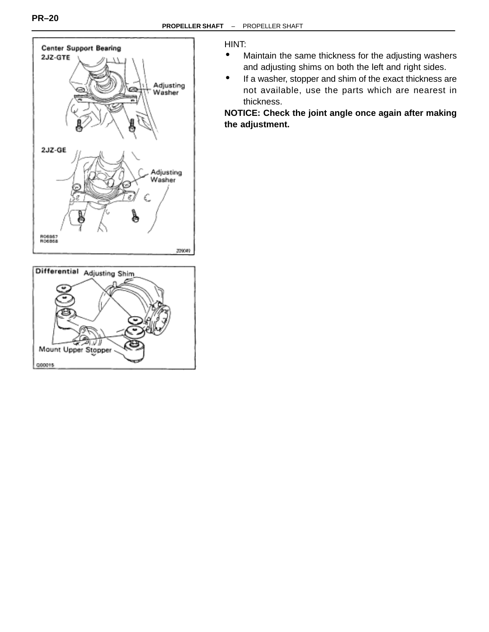



#### HINT:

- Maintain the same thickness for the adjusting washers and adjusting shims on both the left and right sides.
- If a washer, stopper and shim of the exact thickness are not available, use the parts which are nearest in thickness.

#### **NOTICE: Check the joint angle once again after making the adjustment.**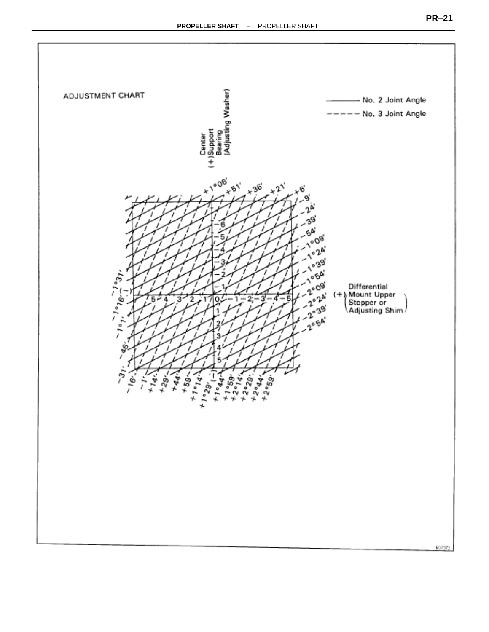